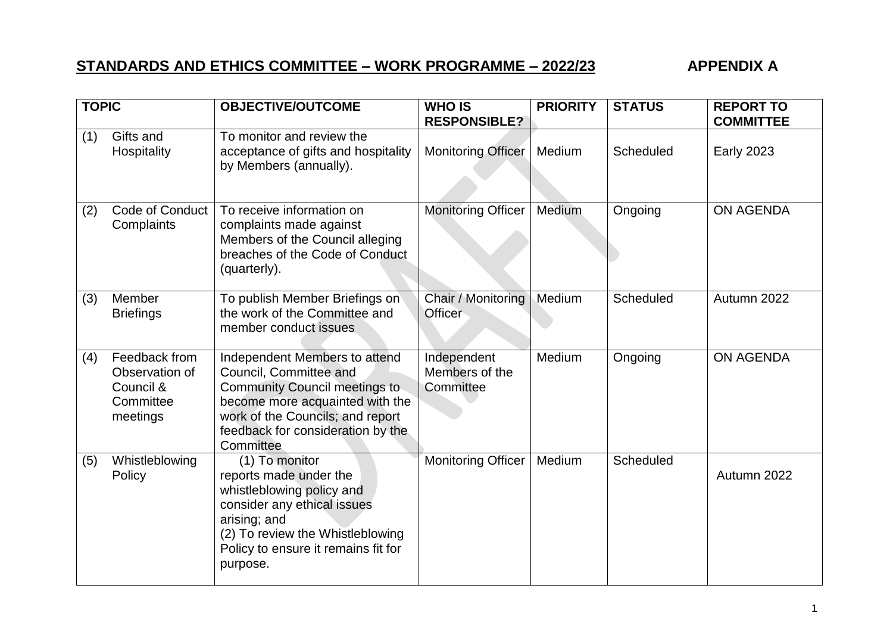## **STANDARDS AND ETHICS COMMITTEE – WORK PROGRAMME – 2022/23 APPENDIX A**

| <b>TOPIC</b> |                                                                       | <b>OBJECTIVE/OUTCOME</b>                                                                                                                                                                                                 | <b>WHO IS</b><br><b>RESPONSIBLE?</b>       | <b>PRIORITY</b> | <b>STATUS</b> | <b>REPORT TO</b><br><b>COMMITTEE</b> |
|--------------|-----------------------------------------------------------------------|--------------------------------------------------------------------------------------------------------------------------------------------------------------------------------------------------------------------------|--------------------------------------------|-----------------|---------------|--------------------------------------|
| (1)          | Gifts and<br>Hospitality                                              | To monitor and review the<br>acceptance of gifts and hospitality<br>by Members (annually).                                                                                                                               | <b>Monitoring Officer</b>                  | Medium          | Scheduled     | <b>Early 2023</b>                    |
| (2)          | Code of Conduct<br>Complaints                                         | To receive information on<br>complaints made against<br>Members of the Council alleging<br>breaches of the Code of Conduct<br>(quarterly).                                                                               | <b>Monitoring Officer</b>                  | Medium          | Ongoing       | <b>ON AGENDA</b>                     |
| (3)          | Member<br><b>Briefings</b>                                            | To publish Member Briefings on<br>the work of the Committee and<br>member conduct issues                                                                                                                                 | Chair / Monitoring<br>Officer              | Medium          | Scheduled     | Autumn 2022                          |
| (4)          | Feedback from<br>Observation of<br>Council &<br>Committee<br>meetings | Independent Members to attend<br>Council, Committee and<br><b>Community Council meetings to</b><br>become more acquainted with the<br>work of the Councils; and report<br>feedback for consideration by the<br>Committee | Independent<br>Members of the<br>Committee | Medium          | Ongoing       | <b>ON AGENDA</b>                     |
| (5)          | Whistleblowing<br>Policy                                              | (1) To monitor<br>reports made under the<br>whistleblowing policy and<br>consider any ethical issues<br>arising; and<br>(2) To review the Whistleblowing<br>Policy to ensure it remains fit for<br>purpose.              | <b>Monitoring Officer</b>                  | Medium          | Scheduled     | Autumn 2022                          |